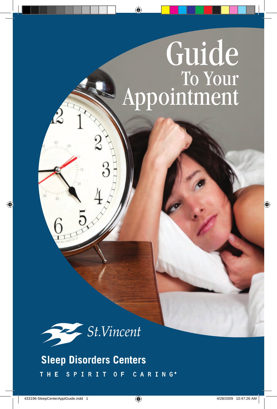# Guide Appointment



**Sleep Disorders Centers** CARING®  $S$   $P$   $I$ T H E  $R$ - 1  $\mathbf{T}$  $0 F$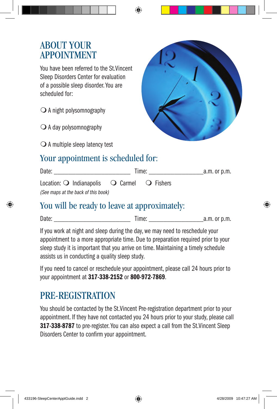#### **ABOUT YOUR APPOINTMENT**

You have been referred to the St.Vincent Sleep Disorders Center for evaluation of a possible sleep disorder. You are scheduled for:

 $\bigcirc$  A night polysomnography

 $\bigcirc$  A day polysomnography

 $\bigcirc$  A multiple sleep latency test



## Your appointment is scheduled for:

| Date:                                                                  | Time: |  | a.m. or p.m. |
|------------------------------------------------------------------------|-------|--|--------------|
| Location: $\bigcirc$ Indianapolis $\bigcirc$ Carmel $\bigcirc$ Fishers |       |  |              |
| (See maps at the back of this book)                                    |       |  |              |

## You will be ready to leave at approximately:

Date: \_\_\_\_\_\_\_\_\_\_\_\_\_\_\_\_\_\_\_\_\_ Time: \_\_\_\_\_\_\_\_\_\_\_\_\_\_\_a.m. or p.m.

If you work at night and sleep during the day, we may need to reschedule your appointment to a more appropriate time. Due to preparation required prior to your sleep study it is important that you arrive on time. Maintaining a timely schedule assists us in conducting a quality sleep study.

If you need to cancel or reschedule your appointment, please call 24 hours prior to your appointment at 317-338-2152 or 800-972-7869.

# Pre-Registration

You should be contacted by the St.Vincent Pre-registration department prior to your appointment. If they have not contacted you 24 hours prior to your study, please call 317-338-8787 to pre-register. You can also expect a call from the St. Vincent Sleep Disorders Center to confirm your appointment.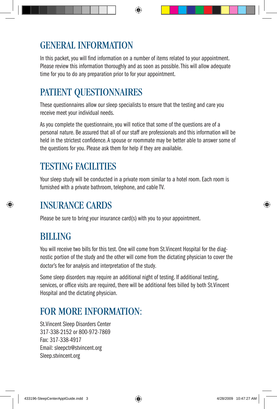# General Information

In this packet, you will find information on a number of items related to your appointment. Please review this information thoroughly and as soon as possible. This will allow adequate time for you to do any preparation prior to for your appointment.

# Patient Questionnaires

These questionnaires allow our sleep specialists to ensure that the testing and care you receive meet your individual needs.

As you complete the questionnaire, you will notice that some of the questions are of a personal nature. Be assured that all of our staff are professionals and this information will be held in the strictest confidence. A spouse or roommate may be better able to answer some of the questions for you. Please ask them for help if they are available.

## TESTING FACILITIES

Your sleep study will be conducted in a private room similar to a hotel room. Each room is furnished with a private bathroom, telephone, and cable TV.

## Insurance Cards

Please be sure to bring your insurance card(s) with you to your appointment.

# **BILLING**

You will receive two bills for this test. One will come from St.Vincent Hospital for the diagnostic portion of the study and the other will come from the dictating physician to cover the doctor's fee for analysis and interpretation of the study.

Some sleep disorders may require an additional night of testing. If additional testing, services, or office visits are required, there will be additional fees billed by both St.Vincent Hospital and the dictating physician.

# FOR MORE INFORMATION:

St.Vincent Sleep Disorders Center 317-338-2152 or 800-972-7869 Fax: 317-338-4917 Email: sleepctr@stvincent.org Sleep.stvincent.org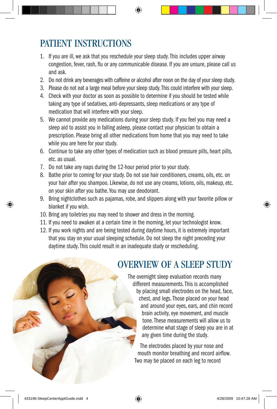# Patient Instructions

- 1. If you are ill, we ask that you reschedule your sleep study. This includes upper airway congestion, fever, rash, flu or any communicable disease. If you are unsure, please call us and ask.
- 2. Do not drink any beverages with caffeine or alcohol after noon on the day of your sleep study.
- 3. Please do not eat a large meal before your sleep study. This could interfere with your sleep.
- 4. Check with your doctor as soon as possible to determine if you should be tested while taking any type of sedatives, anti-depressants, sleep medications or any type of medication that will interfere with your sleep.
- 5. We cannot provide any medications during your sleep study. If you feel you may need a sleep aid to assist you in falling asleep, please contact your physician to obtain a prescription. Please bring all other medications from home that you may need to take while you are here for your study.
- 6. Continue to take any other types of medication such as blood pressure pills, heart pills, etc. as usual.
- 7. Do not take any naps during the 12-hour period prior to your study.
- 8. Bathe prior to coming for your study. Do not use hair conditioners, creams, oils, etc. on your hair after you shampoo. Likewise, do not use any creams, lotions, oils, makeup, etc. on your skin after you bathe. You may use deodorant.
- 9. Bring nightclothes such as pajamas, robe, and slippers along with your favorite pillow or blanket if you wish.
- 10. Bring any toiletries you may need to shower and dress in the morning.
- 11. If you need to awaken at a certain time in the morning, let your technologist know.
- 12. If you work nights and are being tested during daytime hours, it is extremely important that you stay on your usual sleeping schedule. Do not sleep the night preceding your daytime study. This could result in an inadequate study or rescheduling.

## Overview Of A Sleep Study

The overnight sleep evaluation records many different measurements. This is accomplished by placing small electrodes on the head, face, chest, and legs. Those placed on your head and around your eyes, ears, and chin record brain activity, eye movement, and muscle tone. These measurements will allow us to determine what stage of sleep you are in at any given time during the study.

The electrodes placed by your nose and mouth monitor breathing and record airflow. Two may be placed on each leg to record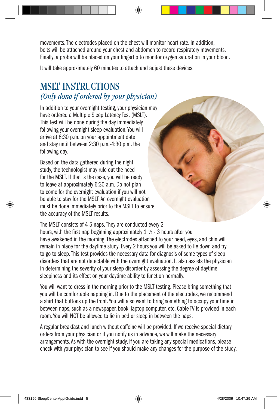movements. The electrodes placed on the chest will monitor heart rate. In addition, belts will be attached around your chest and abdomen to record respiratory movements. Finally, a probe will be placed on your fingertip to monitor oxygen saturation in your blood.

It will take approximately 60 minutes to attach and adjust these devices.

#### MSLT Instructions *(Only done if ordered by your physician)*

In addition to your overnight testing, your physician may have ordered a Multiple Sleep Latency Test (MSLT). This test will be done during the day immediately following your overnight sleep evaluation. You will arrive at 8:30 p.m. on your appointment date and stay until between 2:30 p.m.-4:30 p.m. the following day.

Based on the data gathered during the night study, the technologist may rule out the need for the MSLT. If that is the case, you will be ready to leave at approximately 6:30 a.m. Do not plan to come for the overnight evaluation if you will not be able to stay for the MSLT. An overnight evaluation must be done immediately prior to the MSLT to ensure the accuracy of the MSLT results.

The MSLT consists of 4-5 naps. They are conducted every 2 hours, with the first nap beginning approximately 1 ½ - 3 hours after you have awakened in the morning. The electrodes attached to your head, eyes, and chin will remain in place for the daytime study. Every 2 hours you will be asked to lie down and try to go to sleep. This test provides the necessary data for diagnosis of some types of sleep disorders that are not detectable with the overnight evaluation. It also assists the physician in determining the severity of your sleep disorder by assessing the degree of daytime sleepiness and its effect on your daytime ability to function normally.

You will want to dress in the morning prior to the MSLT testing. Please bring something that you will be comfortable napping in. Due to the placement of the electrodes, we recommend a shirt that buttons up the front. You will also want to bring something to occupy your time in between naps, such as a newspaper, book, laptop computer, etc. Cable TV is provided in each room. You will NOT be allowed to lie in bed or sleep in between the naps.

A regular breakfast and lunch without caffeine will be provided. If we receive special dietary orders from your physician or if you notify us in advance, we will make the necessary arrangements. As with the overnight study, if you are taking any special medications, please check with your physician to see if you should make any changes for the purpose of the study.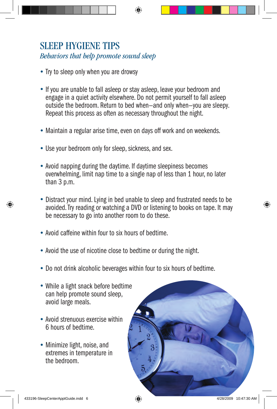#### SLEEP HYGIENE TIPS *Behaviors that help promote sound sleep*

- Try to sleep only when you are drowsy
- If you are unable to fall asleep or stay asleep, leave your bedroom and engage in a quiet activity elsewhere. Do not permit yourself to fall asleep outside the bedroom. Return to bed when—and only when—you are sleepy. Repeat this process as often as necessary throughout the night.
- Maintain a regular arise time, even on days off work and on weekends.
- Use your bedroom only for sleep, sickness, and sex.
- Avoid napping during the daytime. If daytime sleepiness becomes overwhelming, limit nap time to a single nap of less than 1 hour, no later than 3 p.m.
- Distract your mind. Lying in bed unable to sleep and frustrated needs to be avoided. Try reading or watching a DVD or listening to books on tape. It may be necessary to go into another room to do these.
- Avoid caffeine within four to six hours of bedtime.
- Avoid the use of nicotine close to bedtime or during the night.
- Do not drink alcoholic beverages within four to six hours of bedtime.
- While a light snack before bedtime can help promote sound sleep, avoid large meals.
- Avoid strenuous exercise within 6 hours of bedtime.
- Minimize light, noise, and extremes in temperature in the bedroom.

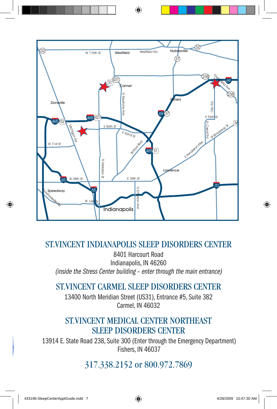

#### St.Vincent Indianapolis Sleep Disorders Center

8401 Harcourt Road Indianapolis, IN 46260 (inside the Stress Center building – enter through the main entrance)

#### St.Vincent carmel Sleep Disorders Center

13400 North Meridian Street (US31), Entrance #5, Suite 382 Carmel, IN 46032

#### St.Vincent medical center northeast Sleep Disorders Center

13914 E. State Road 238, Suite 300 (Enter through the Emergency Department) Fishers, IN 46037

#### 317.338.2152 or 800.972.7869